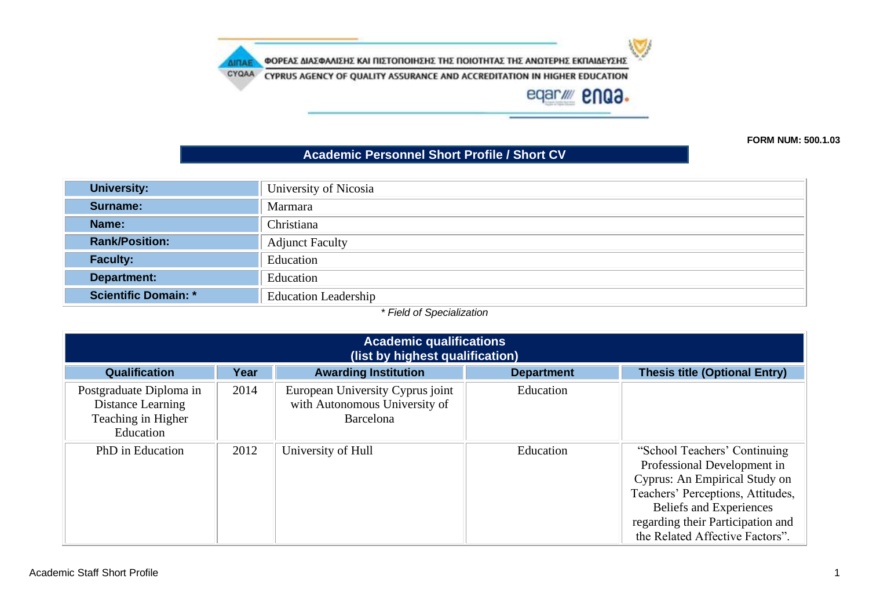w

ΦΟΡΕΑΣ ΔΙΑΣΦΑΛΙΣΗΣ ΚΑΙ ΠΙΣΤΟΠΟΙΗΣΗΣ ΤΗΣ ΠΟΙΟΤΗΤΑΣ ΤΗΣ ΑΝΩΤΕΡΗΣ ΕΚΠΑΙΔΕΥΣΗΣ

**AIRAE** 

CYQAA CYPRUS AGENCY OF QUALITY ASSURANCE AND ACCREDITATION IN HIGHER EDUCATION

eqar/ enQ3.

**FORM NUM: 500.1.03**

#### **Academic Personnel Short Profile / Short CV**

| <b>University:</b>          | University of Nicosia       |
|-----------------------------|-----------------------------|
| Surname:                    | Marmara                     |
| Name:                       | Christiana                  |
| <b>Rank/Position:</b>       | <b>Adjunct Faculty</b>      |
| <b>Faculty:</b>             | Education                   |
| <b>Department:</b>          | Education                   |
| <b>Scientific Domain: *</b> | <b>Education Leadership</b> |

*\* Field of Specialization*

| <b>Academic qualifications</b><br>(list by highest qualification)               |      |                                                                                |                   |                                                                                                                                                                                                                                      |  |
|---------------------------------------------------------------------------------|------|--------------------------------------------------------------------------------|-------------------|--------------------------------------------------------------------------------------------------------------------------------------------------------------------------------------------------------------------------------------|--|
| <b>Qualification</b>                                                            | Year | <b>Awarding Institution</b>                                                    | <b>Department</b> | <b>Thesis title (Optional Entry)</b>                                                                                                                                                                                                 |  |
| Postgraduate Diploma in<br>Distance Learning<br>Teaching in Higher<br>Education | 2014 | European University Cyprus joint<br>with Autonomous University of<br>Barcelona | Education         |                                                                                                                                                                                                                                      |  |
| PhD in Education                                                                | 2012 | University of Hull                                                             | Education         | "School Teachers' Continuing<br>Professional Development in<br>Cyprus: An Empirical Study on<br>Teachers' Perceptions, Attitudes,<br>Beliefs and Experiences<br>regarding their Participation and<br>the Related Affective Factors". |  |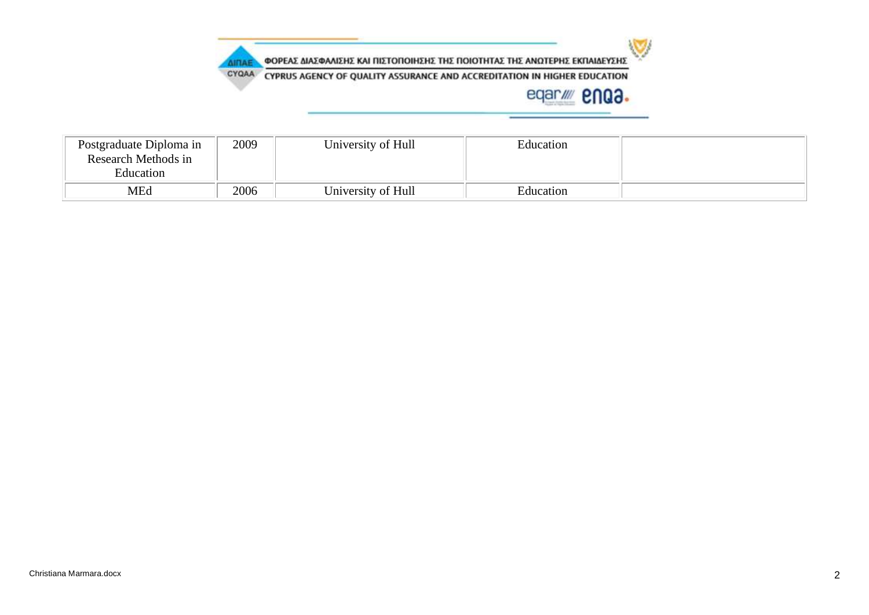

| Postgraduate Diploma in<br>Research Methods in<br>Education | 2009 | University of Hull | Education |  |
|-------------------------------------------------------------|------|--------------------|-----------|--|
| MEd                                                         | 2006 | University of Hull | Education |  |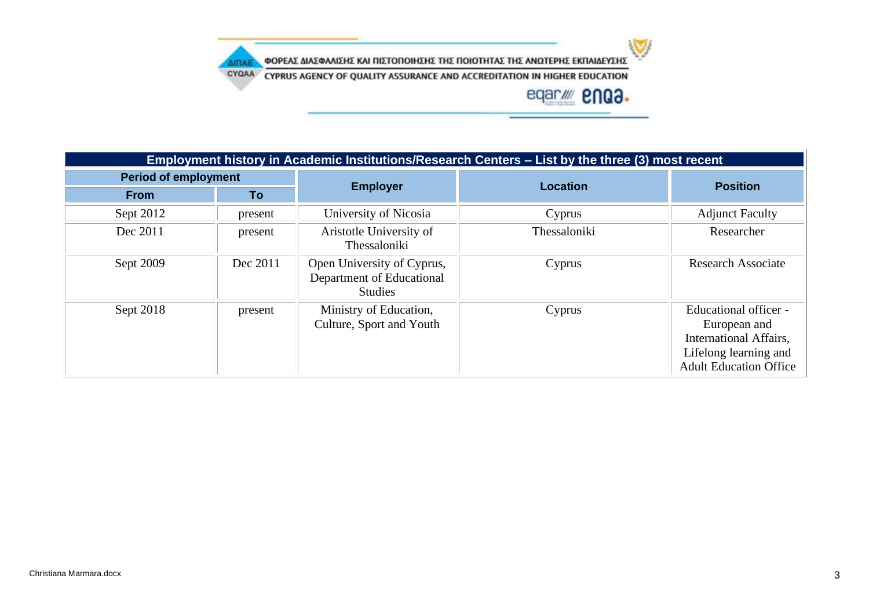

CYQAA CYPRUS AGENCY OF QUALITY ASSURANCE AND ACCREDITATION IN HIGHER EDUCATION

**AIRAE** 

| Employment history in Academic Institutions/Research Centers - List by the three (3) most recent |          |                                                                           |              |                                                                                                                           |
|--------------------------------------------------------------------------------------------------|----------|---------------------------------------------------------------------------|--------------|---------------------------------------------------------------------------------------------------------------------------|
| <b>Period of employment</b>                                                                      |          |                                                                           | Location     | <b>Position</b>                                                                                                           |
| <b>From</b>                                                                                      | To       | <b>Employer</b>                                                           |              |                                                                                                                           |
| Sept 2012                                                                                        | present  | University of Nicosia                                                     | Cyprus       | <b>Adjunct Faculty</b>                                                                                                    |
| Dec 2011                                                                                         | present  | Aristotle University of<br>Thessaloniki                                   | Thessaloniki | Researcher                                                                                                                |
| Sept 2009                                                                                        | Dec 2011 | Open University of Cyprus,<br>Department of Educational<br><b>Studies</b> | Cyprus       | <b>Research Associate</b>                                                                                                 |
| Sept 2018                                                                                        | present  | Ministry of Education,<br>Culture, Sport and Youth                        | Cyprus       | Educational officer -<br>European and<br>International Affairs,<br>Lifelong learning and<br><b>Adult Education Office</b> |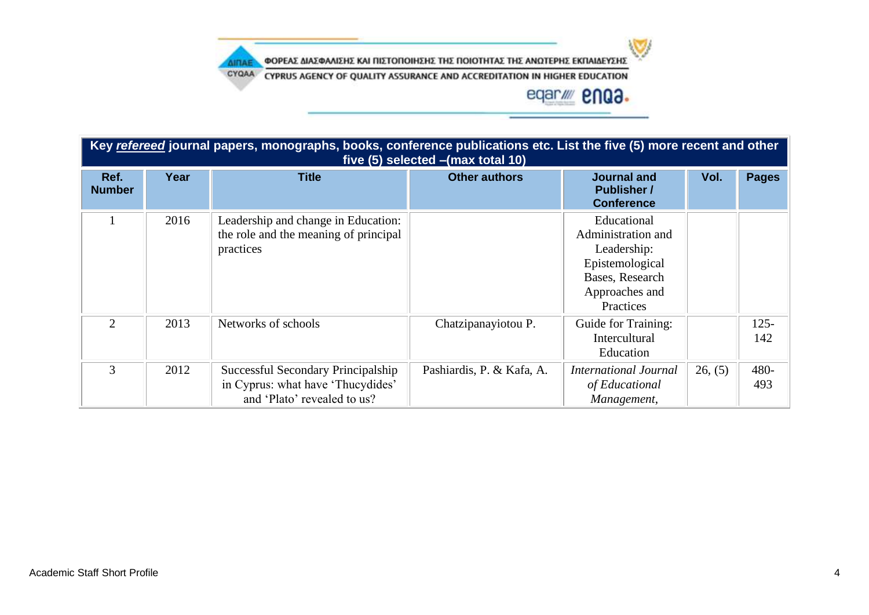

CYQAA CYPRUS AGENCY OF QUALITY ASSURANCE AND ACCREDITATION IN HIGHER EDUCATION

**AIRAE** 

| Key refereed journal papers, monographs, books, conference publications etc. List the five (5) more recent and other<br>five (5) selected - (max total 10) |      |                                                                                                        |                           |                                                                                                                       |         |                |  |
|------------------------------------------------------------------------------------------------------------------------------------------------------------|------|--------------------------------------------------------------------------------------------------------|---------------------------|-----------------------------------------------------------------------------------------------------------------------|---------|----------------|--|
| Ref.<br><b>Number</b>                                                                                                                                      | Year | <b>Title</b>                                                                                           | <b>Other authors</b>      | <b>Journal and</b><br><b>Publisher /</b><br><b>Conference</b>                                                         | Vol.    | <b>Pages</b>   |  |
|                                                                                                                                                            | 2016 | Leadership and change in Education:<br>the role and the meaning of principal<br>practices              |                           | Educational<br>Administration and<br>Leadership:<br>Epistemological<br>Bases, Research<br>Approaches and<br>Practices |         |                |  |
| $\overline{2}$                                                                                                                                             | 2013 | Networks of schools                                                                                    | Chatzipanayiotou P.       | Guide for Training:<br>Intercultural<br>Education                                                                     |         | $125 -$<br>142 |  |
| 3                                                                                                                                                          | 2012 | Successful Secondary Principalship<br>in Cyprus: what have 'Thucydides'<br>and 'Plato' revealed to us? | Pashiardis, P. & Kafa, A. | <b>International Journal</b><br>of Educational<br>Management,                                                         | 26, (5) | 480-<br>493    |  |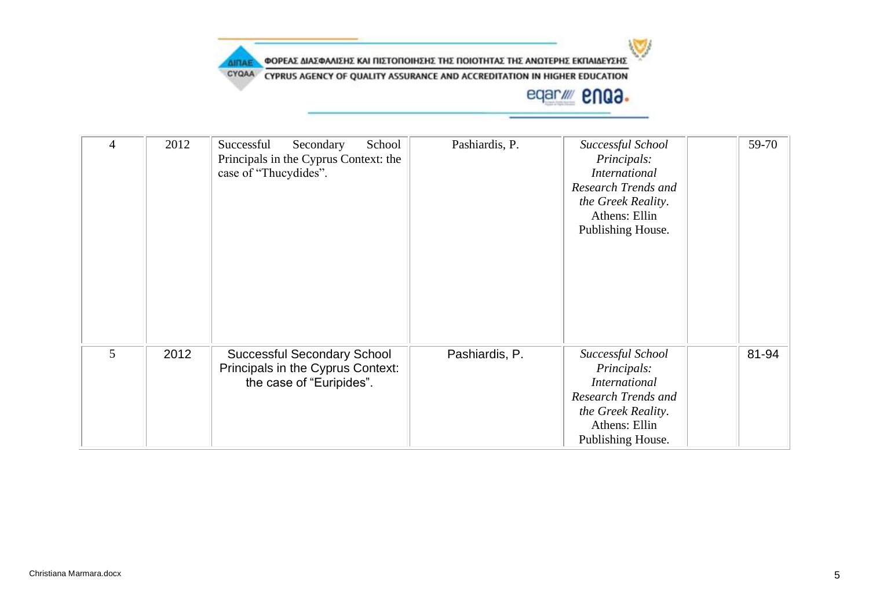

CYQAA CYPRUS AGENCY OF QUALITY ASSURANCE AND ACCREDITATION IN HIGHER EDUCATION

#### eqar/ **2003.**

 $\mathbf{C}$ 

| 4 | 2012 | Successful<br>Secondary<br>School<br>Principals in the Cyprus Context: the<br>case of "Thucydides". | Pashiardis, P. | Successful School<br>Principals:<br><i>International</i><br>Research Trends and<br>the Greek Reality.<br>Athens: Ellin<br>Publishing House. | 59-70 |
|---|------|-----------------------------------------------------------------------------------------------------|----------------|---------------------------------------------------------------------------------------------------------------------------------------------|-------|
| 5 | 2012 | <b>Successful Secondary School</b><br>Principals in the Cyprus Context:<br>the case of "Euripides". | Pashiardis, P. | Successful School<br>Principals:<br><b>International</b><br>Research Trends and<br>the Greek Reality.<br>Athens: Ellin<br>Publishing House. | 81-94 |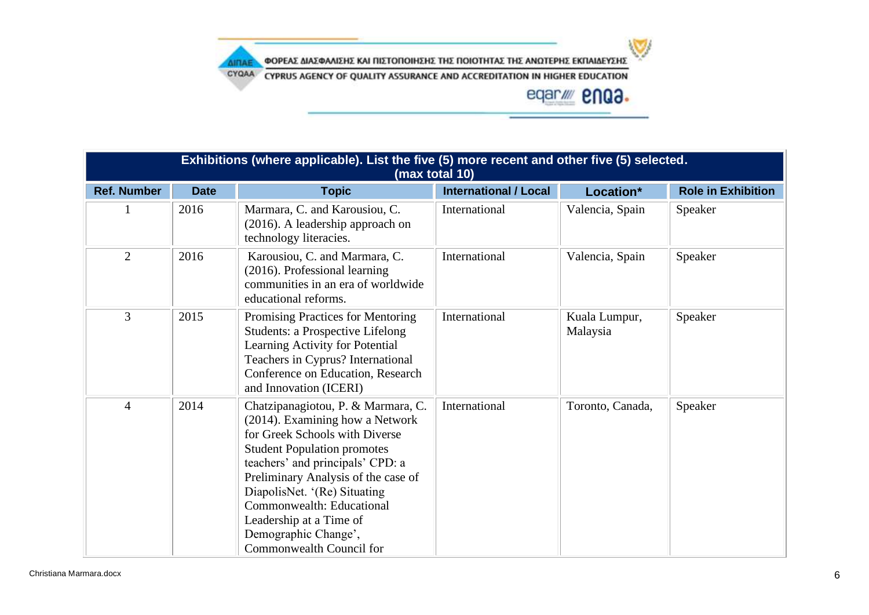

CYQAA CYPRUS AGENCY OF QUALITY ASSURANCE AND ACCREDITATION IN HIGHER EDUCATION

**AIRAE** 

| Exhibitions (where applicable). List the five (5) more recent and other five (5) selected.<br>(max total 10) |             |                                                                                                                                                                                                                                                                                                                                                                      |                              |                           |                           |
|--------------------------------------------------------------------------------------------------------------|-------------|----------------------------------------------------------------------------------------------------------------------------------------------------------------------------------------------------------------------------------------------------------------------------------------------------------------------------------------------------------------------|------------------------------|---------------------------|---------------------------|
| <b>Ref. Number</b>                                                                                           | <b>Date</b> | <b>Topic</b>                                                                                                                                                                                                                                                                                                                                                         | <b>International / Local</b> | Location*                 | <b>Role in Exhibition</b> |
|                                                                                                              | 2016        | Marmara, C. and Karousiou, C.<br>(2016). A leadership approach on<br>technology literacies.                                                                                                                                                                                                                                                                          | International                | Valencia, Spain           | Speaker                   |
| $\overline{2}$                                                                                               | 2016        | Karousiou, C. and Marmara, C.<br>(2016). Professional learning<br>communities in an era of worldwide<br>educational reforms.                                                                                                                                                                                                                                         | International                | Valencia, Spain           | Speaker                   |
| 3                                                                                                            | 2015        | Promising Practices for Mentoring<br><b>Students: a Prospective Lifelong</b><br>Learning Activity for Potential<br>Teachers in Cyprus? International<br>Conference on Education, Research<br>and Innovation (ICERI)                                                                                                                                                  | International                | Kuala Lumpur,<br>Malaysia | Speaker                   |
| $\overline{4}$                                                                                               | 2014        | Chatzipanagiotou, P. & Marmara, C.<br>(2014). Examining how a Network<br>for Greek Schools with Diverse<br><b>Student Population promotes</b><br>teachers' and principals' CPD: a<br>Preliminary Analysis of the case of<br>DiapolisNet. '(Re) Situating<br>Commonwealth: Educational<br>Leadership at a Time of<br>Demographic Change',<br>Commonwealth Council for | International                | Toronto, Canada,          | Speaker                   |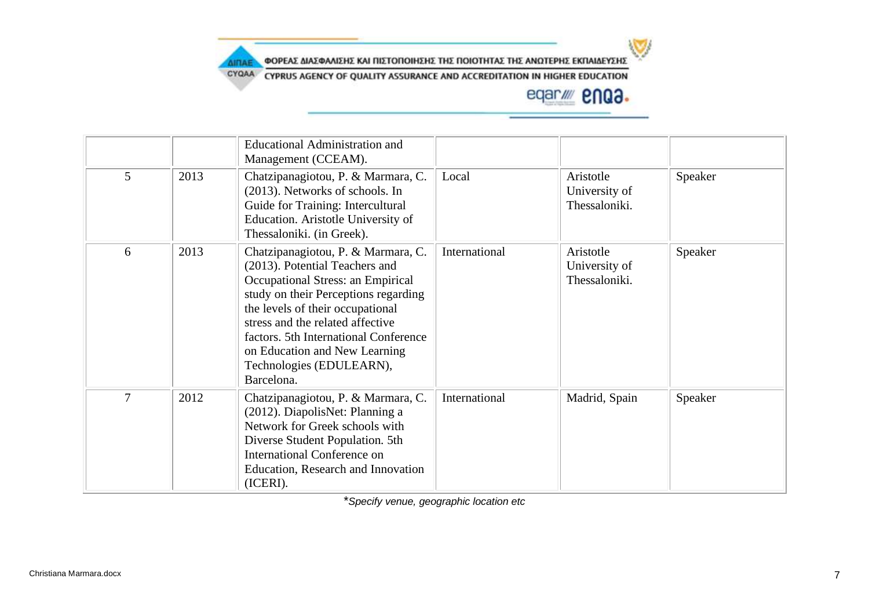

CYQAA CYPRUS AGENCY OF QUALITY ASSURANCE AND ACCREDITATION IN HIGHER EDUCATION

## eqar/ enQ3.

|   |      | <b>Educational Administration and</b><br>Management (CCEAM).                                                                                                                                                                                                                                                                                  |               |                                             |         |
|---|------|-----------------------------------------------------------------------------------------------------------------------------------------------------------------------------------------------------------------------------------------------------------------------------------------------------------------------------------------------|---------------|---------------------------------------------|---------|
| 5 | 2013 | Chatzipanagiotou, P. & Marmara, C.<br>(2013). Networks of schools. In<br>Guide for Training: Intercultural<br>Education. Aristotle University of<br>Thessaloniki. (in Greek).                                                                                                                                                                 | Local         | Aristotle<br>University of<br>Thessaloniki. | Speaker |
| 6 | 2013 | Chatzipanagiotou, P. & Marmara, C.<br>(2013). Potential Teachers and<br>Occupational Stress: an Empirical<br>study on their Perceptions regarding<br>the levels of their occupational<br>stress and the related affective<br>factors. 5th International Conference<br>on Education and New Learning<br>Technologies (EDULEARN),<br>Barcelona. | International | Aristotle<br>University of<br>Thessaloniki. | Speaker |
| 7 | 2012 | Chatzipanagiotou, P. & Marmara, C.<br>(2012). DiapolisNet: Planning a<br>Network for Greek schools with<br>Diverse Student Population. 5th<br>International Conference on<br>Education, Research and Innovation<br>(ICERI).                                                                                                                   | International | Madrid, Spain                               | Speaker |

\**Specify venue, geographic location etc*